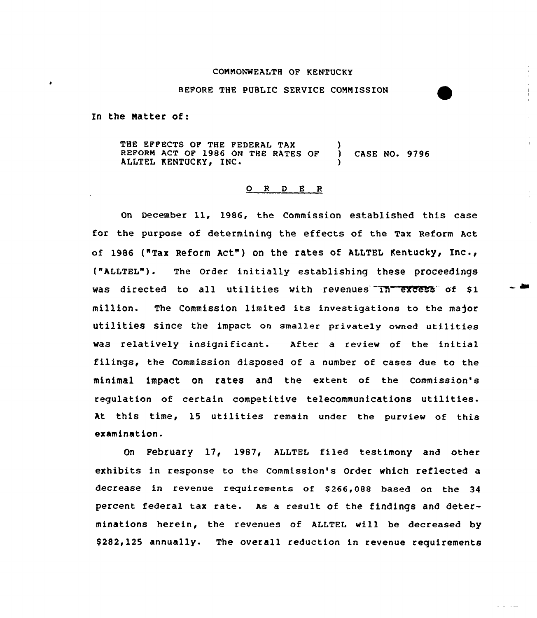### CONNONWEALTH OF KENTUCKY

### BEFORE THE PUBLIC SERUICE CONNISSION

In the Natter of:

THE EFFECTS OF THE PEDERAL TAX REPORN ACT OP 1986 ON THE RATES OF ) CASE NO. 9796 ALLTEL KENTUCKY, INC.

### 0 <sup>R</sup> <sup>D</sup> <sup>E</sup> <sup>R</sup>

on December ll, 1986, the commission established this case for the purpose of determining the effects of the Tax Reform Act of 1986 ("Tax Reform Act") on the rates of ALLTEL Kentucky, Inc., ("ALLTEL"). The order initially establishing these proceedings was directed to all utilities with revenues in excess of \$1 million. The Commission limited its investigations to the major utilities since the impact on smaller privately owned utilities was relatively insignificant. After a review of the initial filings, the Commission disposed of a number of cases due to the minimal impact on rates and the extent of the commission's regulation of certain competitive telecommunications utilities. At this time, 15 utilities remain under the purview of this examination.

On February 17, 1987, ALLTEL filed testimony and other exhibits in response to the Commission's Order which reflected a decrease in revenue requirements of \$266,088 based on the 34 percent federal tax rate. As a result of the findings and determinations herein, the revenues of ALLTEL will be decreased by \$ 282, 125 annually. The overall reduction in revenue requirements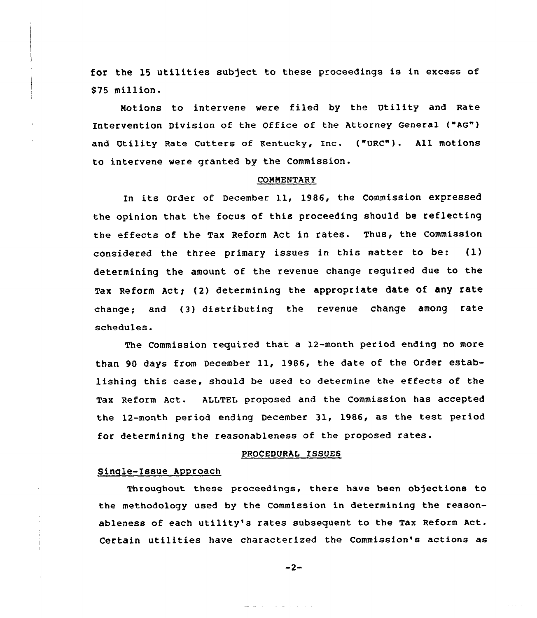for the 15 utilities subject to these proceedings is in excess of \$75 million.

Notions to intervene were filed by the Utility and Rate Intervention Division of the office of the Attorney General ("AG") and Utility Rate Cutters of Kentucky, Inc. ("URC"). All motions to intervene were granted by the Commission.

#### COMMENTARY

In its order of December ll, 1986, the commission expressed the opinion that the focus of this proceeding should be reflecting the effects of the Tax Reform Act in rates. Thus, the commission considered the three primary issues in this matter to be: (1) determining the amount of the revenue change required due to the Tax Reform Act; (2) determining the appropriate date of any rate change; and (3) distributing the revenue change among rate schedules.

The Commission required that a 12-month period ending no more than <sup>90</sup> days from December ll, 1986, the date of the Order establishing this case, should be used to determine the effects of the Tax Reform Act. ALLTEL proposed and the Commission has accepted the 12-month period ending December 31, 1986, as the test period for determining the reasonableness of the proposed rates.

### PROCEDURAL ISSUES

### Sinqle-Issue Approach

 $\frac{2}{3}$ 

Throughout these proceedings, there have been objections to the methodology used by the Commission in determining the reasonableness of each utility's rates subsequent to the Tax Reform Act. Certain utilities have characterized the Commission's actions as

 $-2-$ 

ana ny kaodim-paositra 2008–2014.<br>Jeografia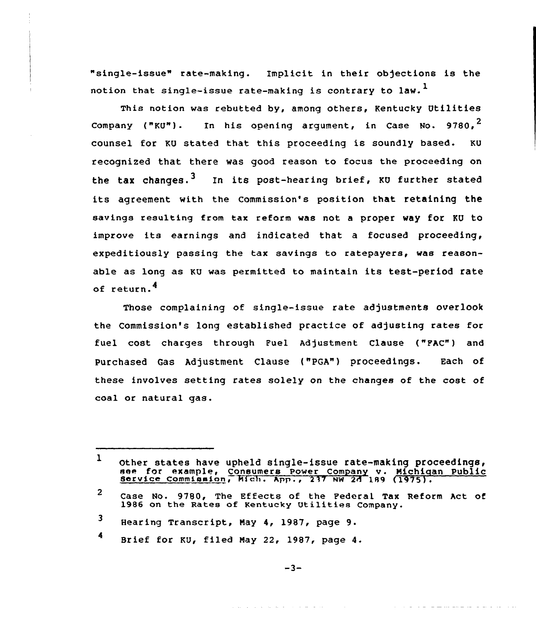"single-issue" rate-making. Implicit in their objections is the notion that single-issue rate-making is contrary to law.<sup>1</sup>

This notion was rebutted by, among others, Kentucky Utilities Company ("KU"). In his opening argument, in Case No.  $9780.^2$ counsel for KU stated that this proceeding is soundly based. KU recognized that there was good reason to focus the proceeding on the tax changes.<sup>3</sup> In its post-hearing brief, KU further stated its agreement with the Commission's position that retaining the savings resulting from tax reform was not a proper way for KU to improve its earnings and indicated that <sup>a</sup> focused proceeding, expeditiously passing the tax savings to ratepayers, was reasonable as long as KU was permitted to maintain its test-period rate of return.

Those complaining of single-issue rate adjustments overlook the Commission's long established practice of adjusting rates for fuel cost charges through Fuel Adjustment Clause ("FAC") and Purchased Gas Adjustment Clause ("PGA") proceedings. Each of these involves setting rates solely on the changes of the cost of coal or natural gas.

and the second contract of the second con-

والتواص والمستحقق والمتحدث والمتحدث والمتحدث

l Other states have upheld single-issue rate-making proceedings, see for example, Consumers Power Company v. Michigan Public Service Commination, Mich. App., 237 NW 2A 189 (1975).

<sup>2</sup> Case No. 9780, The Effects of the Federal Tax Reform Act of 1986 on the Rates of Kentucky Utilities Company.

<sup>3</sup> Hearing Transcript, May 4, 1987, page 9.

<sup>4</sup> Brief for KU, filed Nay 22, 1987, page 4.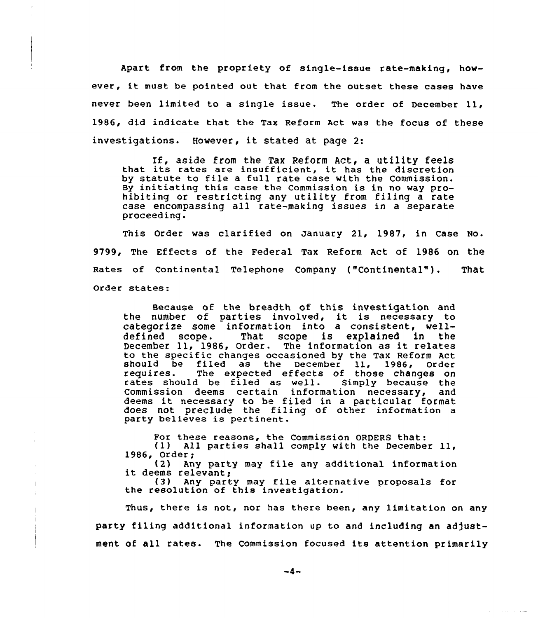Apart from the propriety of single-issue rate-making, however, it must be pointed out that from the outset these cases have never been limited to <sup>a</sup> single issue. The order of December ll, 1986, did indicate that the Tax Reform Act was the focus of these investigations. However, it stated at page 2:

If, aside from the Tax Reform Act, <sup>a</sup> utility feels that its rates are insufficient, it has the discretion by statute to file <sup>a</sup> full rate case with the Commission. By initiating this case the Commission is in no way prohibiting or restricting any utility from filing a rate case encompassing all rate-making issues in a separate proceeding.

This Order was clarified on January 21, 1987, in Case No. 9799, The Effects of the Federal Tax Reform Act of 1986 on the Rates of continental Telephone company ("continenta1"). That Order states:

Because of the breadth of this investigation and because of the breaden of this investigation and<br>the number of parties involved, it is necessary to categorize some information into a consistent, welldefined scope. That scope is explained in the December ll, 1986, Order. The information as it relates to the specific changes occasioned by the Tax Reform Act should be filed as the December 11, 1986, Order<br>requires. The expected effects of those changes on The expected effects of those changes on<br>d be filed as well. Simply because the rates should be filed as well. Commission deems certain information necessary, and deems it necessary to be filed in <sup>a</sup> particular format does not preclude the filing of other information a party believes is pertinent.

For these reasons, the Commission ORDERS that:<br>(1) All parties shall comply with the December 11, 1986, Order;<br>(2) Any party may file any additional information

it deems relevant;<br>(3) Any party may file alternative proposals for<br>the resolution of this investigation.

 $\mathbf{I}$ 

Thus, there is not, nor has there been, any limitation on any party filing additional information up to and including an adjustment of all rates. The Commission focused its attention primarily

**Service**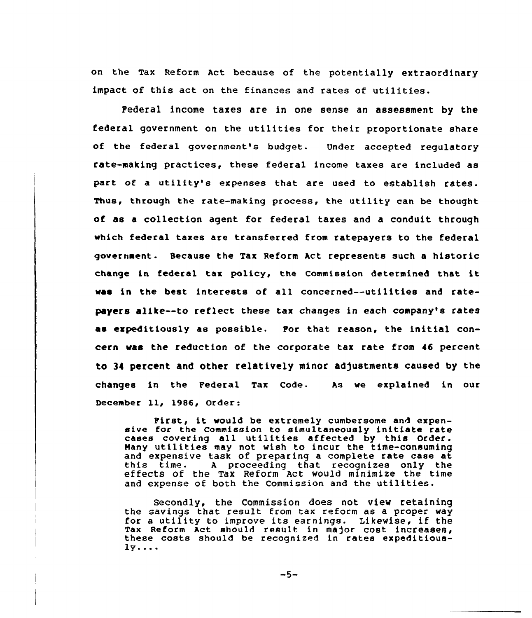on the Tax Reform Act because of the potentially extraordinary impact of this act on the finances and rates of utilities.

Federal income taxes are in one sense an assessment by the federal government on the utilities for their proportionate share of the federal government's budget. Under accepted regulatory rate-making practices, these federal income taxes are included as pact of <sup>a</sup> utility's expenses that are used to establish rates. Thus, through the rate-making process, the utility can be thought of as a collection agent for federal taxes and a conduit through which federal taxes are transferred from ratepayers to the federal government. Because the Tax Reform Act represents such a historic change in federal tax policy, the Commission determined that it was in the best interests of all concerned--utilities and ratepayers alike--to reflect these tax changes in each company's rates as expeditiously as possible. For that reason, the initial concern was the reduction of the corporate tax rate from 46 percent to 34 percent and other relatively minor adjustments caused by the changes in the Pederal Tax Code. As we explained in our December ll, 1986, Order:

First, it would be extremely cumbersome and expensive foc the commission to simultaneously initiate rate cases covering all utilities affected by this Order. Many utilities may not wish to incur the time-consuming<br>and expensive task of preparing a complete rate case at this time. A proceeding that recognizes only the effects of the Tax Reform Act would minimize the time and expense of both the Commission and the utilities.

Secondly, the Commission does not view retaining the savings that result from tax reform as a proper way for a utility to improve its earnings. Likewise, if the<br>Tax Reform Act should result in major cost increases. these costs should be recognized in rates expeditious- $1y...$ 

 $-5-$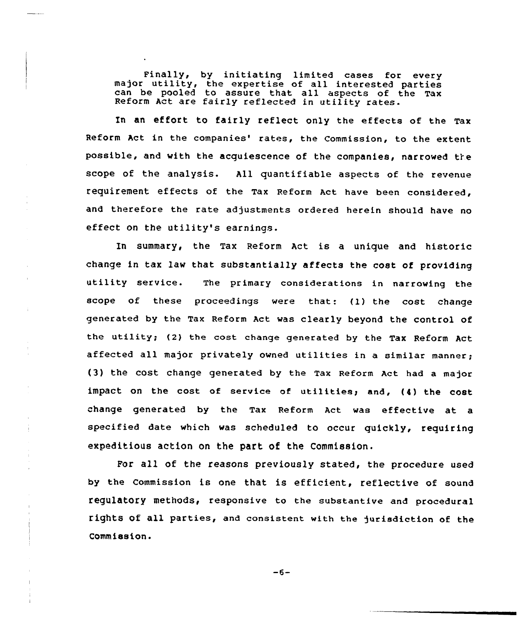Finally, by initiating limited cases for every major utility, the expertise of all interested partie can be pooled to assure that all aspects of the Tax Reform Act are fairly reflected in utility rates.

In an effort to fairly reflect only the effects af the Tax Reform Act in the companies' rates, the Commission, to the extent possible, and with the acguiescence of the companies, narrowed tie scope of the analysis. All quantifiable aspects of the revenue requirement effects of the Tax Reform Act have been considered, and therefore the rate adjustments ordered herein should have no effect on the utility's earnings.

In summary, the Tax Reform Act is a unique and historic change in tax law that substantially affects the cost of providing utility service. The primary considerations in narrowing the scope of these proceedings were that: (1) the cost change generated by the Tax Reform Act was clearly beyond the control of the utility; (2} the cost change generated by the Tax Reform Act affected all major privately owned utilities in a similar manner; (3} the cost change generated by the Tax Reform Act had a major impact on the cost of service of utilities, and, (4) the cost change generated by the Tax Reform Act was effective at a specified date which was scheduled to occur quickly, requiring expeditious action on the part of the Commission.

For all of the reasons previously stated, the procedure used by the Commission is one that is efficient, reflective of sound regulatory methods, respansive to the substantive and procedural rights of all parties, and consistent with the jurisdiction of the Commission.

 $-6-$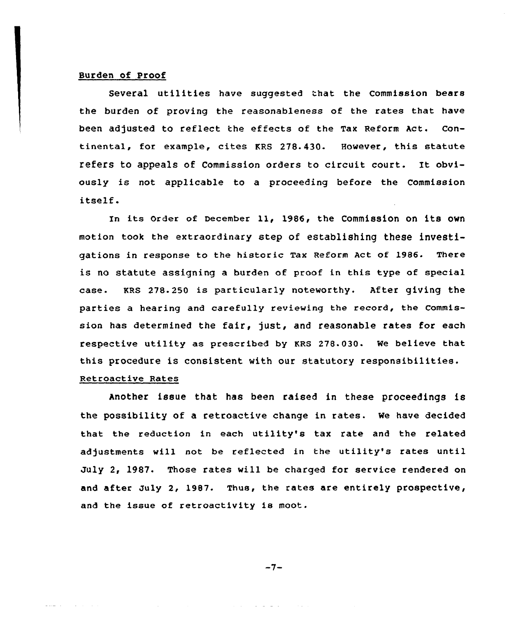### Burden of Proof

Several utilities have suggested that the Commission bears the burden of proving the reasonableness of the rates that have been adjusted to reflect the effects of the Tax Reform Act. Continental, for example, cites KRS 278.430. However, this statute refers to appeals of Commission orders to circuit court. It obviously is not applicable to a proceeding before the Commission itself.

In its Order of December 11, 1986, the Commission on its own motion took the extraordinary step of establishing these investigations in response to the historic Tax Reform Act of 1986. There is no statute assigning a burden of proof in this type of special case. KRS 278.250 is particularly noteworthy. After giving the parties a hearing and carefully reviewing the record, the Commission has determined the fair, just, and reasonable rates for each respective utility as prescribed by KRS 278.03Q. We believe that this procedure is consistent with our statutory responsibilities.

# Retroactive Rates

Another issue that has been raised in these proceedings is the possibility of a retroactive change in rates. We have decided that the reduction in each utility's tax rate and the related adjustments will not be reflected in the utility's rates until July 2, 1987. Those rates will be charged for service rendered on and after July 2, 1987. Thus, the rates are entirely prospective, and the issue of retroactivity is moot.

 $-7-$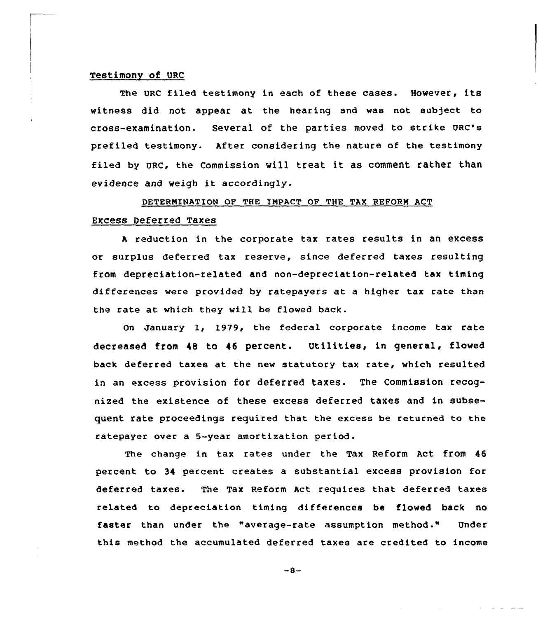### Testimony of QRC

The URc filed testimony in each of these cases. However, its witness did not appear at the hearing and was not subject to cross-examination. several of the parties moved to strike vac's prefiled testimony. After considering the nature of the testimony filed by URc, the commission will treat it as comment rather than evidence and weigh it accordingly.

### DETERMINATION OF THE IMPACT OF THE TAX REFORM ACT

### Excess Deferred Taxes

<sup>A</sup> reduction in the corporate tax rates results in an excess or surplus deferred tax reserve, since deferred taxes resulting from depreciation-related and non-depreciation-related tax timing differences were provided by ratepayers at a higher tax rate than the rate at which they will be flowed back.

On January 1, 1979, the federal corporate income tax rate decreased from <sup>48</sup> to 46 percent. Utilities, in general, flowed back deferred taxes at the new statutory tax rate, which resulted in an excess provision for deferred taxes. The Commission recognized the existence of these excess deferred taxes and in subsequent rate proceedings required that the excess be returned to the ratepayer over a 5-year amortization period.

The change in tax rates under the Tax Reform Act from 46 percent to 34 percent creates a substantial excess provision for deferred taxes. The Tax Reform Act requires that deferred taxes related to depreciation timing differences be flowed back no faster than under the "average-rate assumption method." Under this method the accumulated deferred taxes are credited to income

 $-8-$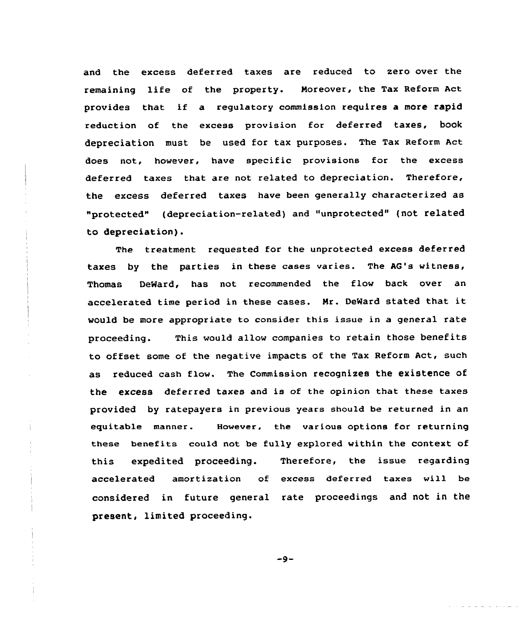and the excess deferred taxes are reduced to zero over the remaining life of the property. Moreover, the Tax Reform Act provides that if <sup>a</sup> regu1atory commission requires a more rapid reduction of the excess provision for deferred taxes, book depreciation must be used for tax purposes. The Tax Reform Act does not, however, have specific provisions for the excess deferred taxes that are not related to depreciation. Therefore, the excess deferred taxes have been generally characterized as "protected" (depreciation-related) and "unprotected" (not related to depreciation).

The treatment requested for the unprotected excess deferred taxes by the parties in these cases varies. The AG's witness, Thomas DeNard, has not recommended the flow back over an accelerated time period in these cases. Mr. DeWard stated that it would be more appropriate to consider this issue in a general rate proceeding. This would allow companies to retain those benefits to offset some of the negative impacts of the Tax Reform Act, such as reduced cash flow. The Commission recognizes the existence of the excess deferred taxes and is of the opinion that these taxes provided by ratepayers in previous years should be returned in an equitable manner. However, the various options for returning these benefits could not be fully explored within the context of this expedited proceeding. Therefore, the issue regarding accelerated amortization of excess deferred taxes will be considered in future general rate proceedings and not in the present, limited proceeding.

 $-9-$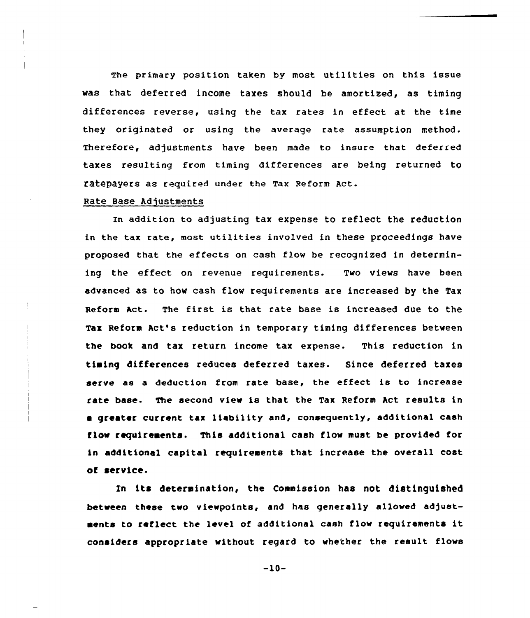The primary position taken by most utilities on this issue was that deferred income taxes should be amortized, as timing differences reverse, using the tax rates in effect at the time they originated or using the average rate assumption method. Therefore, adjustments have been made to insure that deferred taxes resulting from timing differences are being returned to ratepayers as required under the Tax Reform Act.

### Rate Base Adjustments

In addition to adjusting tax expense to reflect the reduction in the tax rate, most utilities involved in these proceedings have proposed that the effects on cash flow be recognized in determining the effect on revenue requirements. Two views have been advanced as to how cash flow requirements are increased by the Tax Reform Act. The first is that rate base is increased due to the Tax Reform Act's reduction in temporary timing differences between the book and tax return income tax expense. This reduction in timing differences reduces deferred taxes. Since deferred taxes serve as a deduction from rate base, the effect is to increase rate base. The second view is that the Tax Reform Act results in e greater current tax liability and, consequently, additional cash flow requirements. This additional cash flow must be provided for in additional capital requirements that increase the overall cost of service.

In its determination, the Commission has not distinguished between these two viewpoints, and has generally allowed adjustments to reflect the level of additional cash flow reguirements it considers appropriate without regard to whether the result flows

 $-10-$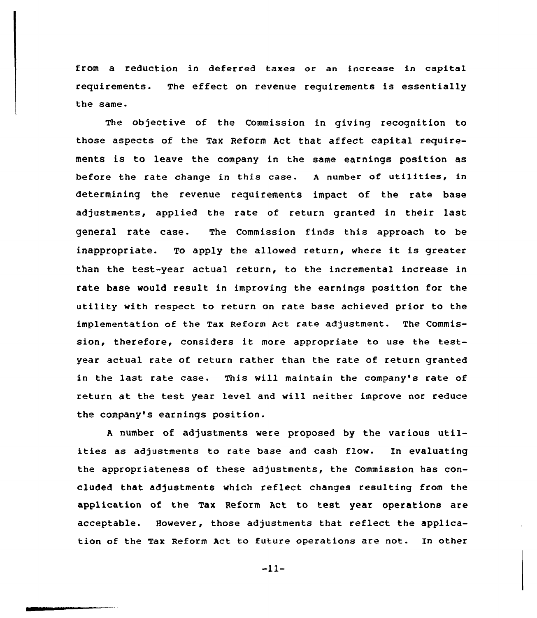from a reduction in deferred taxes or an increase in capital requirements. The effect on revenue requirements is essentially the same-

The objective of the Commission in giving recognition to those aspects of the Tax Reform Act that affect capital requirements is to leave the company in the same earnings position as before the rate change in this case. <sup>A</sup> number of utilities, in determining the revenue requirements impact of the rate base adjustments, applied the rate of return granted in their last general rate case. The Commission finds this approach to be inappropriate. To apply the allowed return, where it is greater than the test-year actual return, to the incremental increase in rate base would result in improving the earnings position for the utility with respect to return on rate base achieved prior to the implementation of the Tax Reform Act rate adjustment. The Commission, therefore, considers it more appropriate to use the testyear actual rate of return rather than the rate of return granted in the last rate case. This will maintain the company's rate of return at the test year level and will neither improve nor reduce the company's earnings position.

<sup>A</sup> number of adjustments were proposed by the various utilities as adjustments to rate base and cash flow. In evaluating the appropriateness of these adjustments, the Commission has concluded that adjustments which reflect changes resulting from the application of the Tax Reform Act to test year operations are acceptable. However, those adjustments that reflect the application of the Tax Reform Act to future operations are not. In other

 $-11-$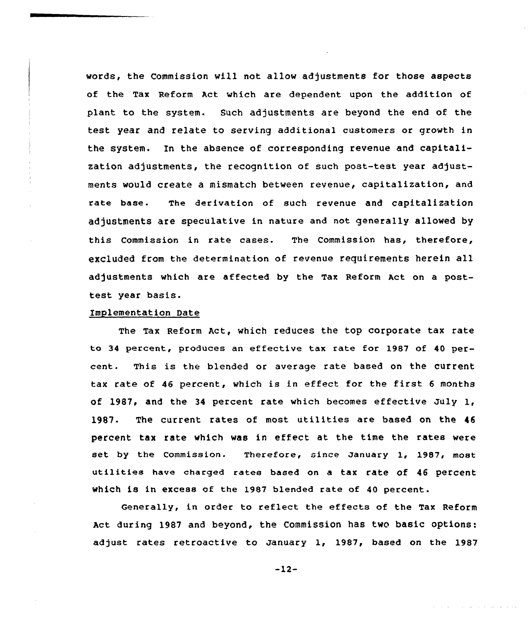words, the Commission will not allow adjustments for those aspects of the Tax Reform Act which are dependent upon the addition of plant to the system. Such adjustments are beyond the end of the test year and relate to serving additional customers or growth in the system. In the absence of corresponding revenue and capitalization adjustments, the recognition of such post-test year adjustments would create a mismatch between revenue, capitalization, and rate base. The derivation of such revenue and capitalization adjustments are speculative in nature and not generally allowed by this Commission in rate cases. The Commission has, therefore, excluded from the determination of revenue requirements herein all adjustments which are affected by the Tax Reform Act on a posttest year basis.

### Implementation Date

The Tax Reform Act, which reduces the top corporate tax rate to 34 percent, produces an effective tax rate for 1987 of 40 percent. This is the blended or average rate based on the current tax rate of <sup>46</sup> percent, which is in effect for the first <sup>6</sup> months of 1987, and the 34 percent rate which becomes effective July  $1$ , 1987. The current rates of most utilities are based on the <sup>46</sup> percent tax rate which was in effect at the time the rates were set by the Commission. Therefore, since January 1, 1987, most utilities have charged rates based on <sup>a</sup> tax rate of <sup>46</sup> percent which is in excess of the 1987 b1ended rate of <sup>40</sup> percent.

Generally, in order to reflect the effects of the Tax Reform Act during 1987 and beyond, the Commission has two basic options: adjust rates retroactive to January 1, 1987, based on the 1987

 $-12-$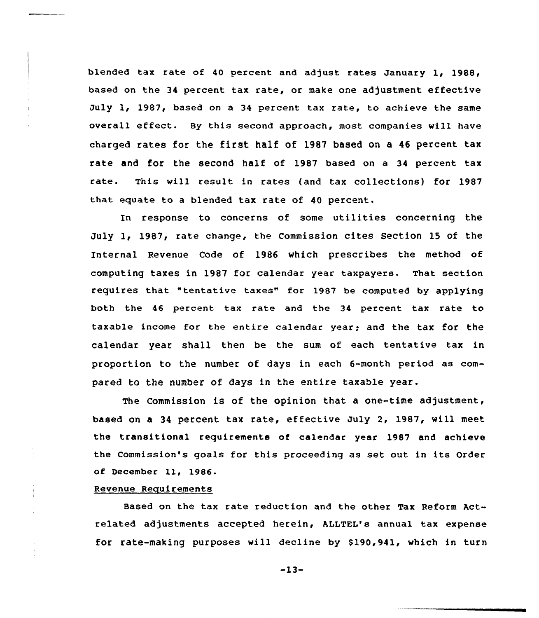blended tax rate of 40 percent and adjust rates January 1, 1988, based on the 34 percent tax rate, or make one adjustment effective July 1, 1987, based on a 34 percent tax rate, to achieve the same overall effect. By this second approach, most companies will have charged rates for the first half of 1987 based on <sup>a</sup> <sup>46</sup> percent tax rate and for the second half of 1987 based on a 34 percent tax rate. This vill result in rates (and tax collections) for 1987 that equate to a blended tax rate of 40 percent.

In response to concerns of some utilities concerning the July 1, 1987, rate change, the Commission cites Section 15 of the Internal Revenue Code of 1986 which prescribes the method of computing taxes in 1987 for calendar year taxpayers. That section requires that "tentative taxes" for 1987 be computed by applying both the 46 percent tax rate and the 34 percent tax rate to taxable income for the entire calendar year; and the tax for the calendar year shall then be the sum of each tentative tax in proportion to the number of days in each 6-month period as compared to the number of days in the entire taxable year.

The Commission is of the opinion that a one-time adjustment, based on a 34 percent tax rate, effective July 2, 1987, will meet the transitional requirements of calendar year 1987 and achieve the Commission's goals for this proceeding as set out in its Order of December ll, 1986.

### Revenue Requirements

Based on the tax rate reduction and the other Tax Reform Actrelated adjustments accepted herein, ALLTEL's annual tax expense for rate-making purposes will decline by \$190,941, which in turn

-13-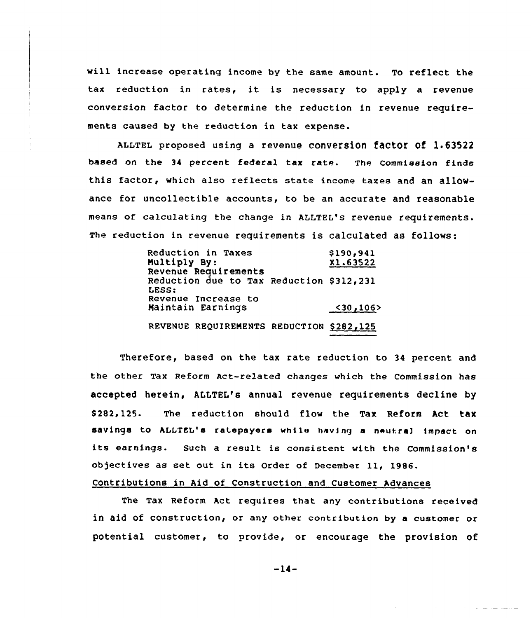will increase operating income by the same amount. To reflect the tax reduction in rates, it is necessary to apply <sup>a</sup> revenue conversion factor to determine the reduction in revenue requirements caused by the reduction in tax expense.

ALLTEL proposed using a revenue conversion factor of 1.63522 based on the <sup>34</sup> percent federal tax rate. The Commission finds this factor, which also reflects state income taxes and an allowance for uncollectible accounts, to be an accurate and reasonable means of calculating the change in ALLTEL's revenue requirements. The reduction in revenue requirements is calculated as follows:

| Reduction in Taxes<br>Multiply By:<br>Revenue Requirements | \$190,941<br>X1.63522 |
|------------------------------------------------------------|-----------------------|
| Reduction due to Tax Reduction \$312,231<br>LESS:          |                       |
| Revenue Increase to<br>Maintain Earnings                   | $<$ 30, 106>          |
| REVENUE REQUIREMENTS REDUCTION \$282,125                   |                       |

Therefore, based on the tax rate reduction to 34 percent and the other Tax Reform Act-related changes which the Commission has accepted herein, ALLTEL's annual revenue requirements decline by \$ 282,125. The reduction should flow the Tax Reform Act tax savings to ALLTEL's ratepayers while having a neutral impact on its earnings. Such <sup>a</sup> result is consistent with the Commission's objectives as set out in its Order of December ll, 1986.

# Contributions in Aid of Construction and Customer Advances

The Tax Reform Act requires that any contributions received in aid of construction, or any other contribution by a customer or potential customer, to provide, or encourage the provision of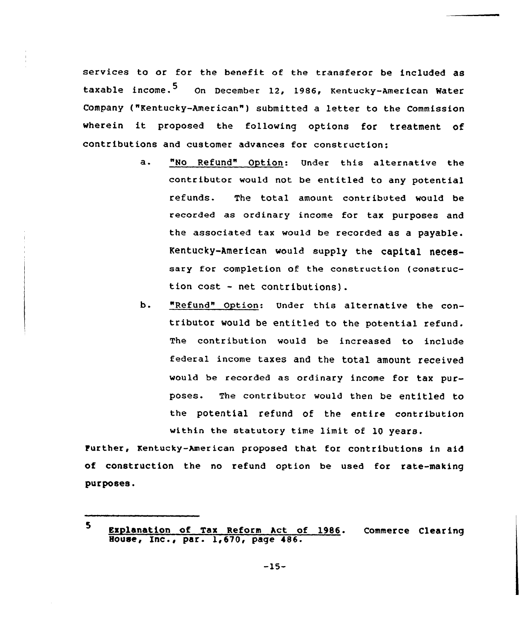services to or for the benefit of the transferor be included as taxable income.<sup>5</sup> On December 12, 1986, Kentucky-American Water Company ("Kentucky-American") submitted a letter to the Commission wherein it proposed the following options for treatment of contributions and customer advances for construction:

- a. "No Refund" Option: Under this alternative the contributor would not be entitled to any potential refunds. The total amount contributed would be recorded as ordinary income for tax purposes and the associated tax would be recorded as a payable. Kentucky-American would supply the capital necessary for completion of the construction (construction cost - net contributions).
- b. "Refund" Option: Under this alternative the contributor would be entitled to the potential refund. The contribution would be increased to include federal income taxes and the total amount received would be recorded as ordinary income for tax purposes. The contributor would then be entitled to the potential refund of the entire contribution within the statutory time limit of 10 years.

turther, Kentucky-American proposed that for contributions in aid of construction the no refund option be used for rate-making purposes.

<sup>5</sup> Explanation of Tax Reform hct of 1986. Commerce Clearing House, Inc., par. 1,570, page 486.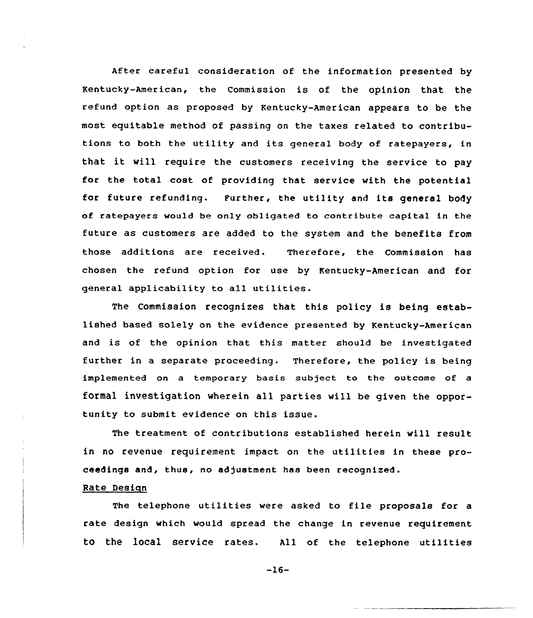After careful consideration of the information presented by Kentucky-american, the commission is of the opinion that the refund option as proposed by Kentucky-American appears to be the most equitable method of passing on the taxes related to contributions to both the utility and its general body of ratepayers, in that it will require the customers receiving the service to pay for the total cost of providing that service with the potential for future refunding. Purther, the utility and its general body of ratepayers would be only obligated to contribute capital in the future as customers are added to the system and the benefits from those additions are received. Therefore, the Commission has chosen the refund option for use by Kentucky-American and for general applicability to all utilities.

The Commission recognizes that this policy is being established based solely on the evidence presented by Kentucky-American and is of the opinion that this matter should be investigated further in a separate proceeding. Therefore, the policy is being implemented on a temporary basis subject to the outcome of a formal investigation wherein all parties will be given the opportunity to submit evidence on this issue.

The treatment of contributions established herein will result in no revenue requirement impact on the utilities in these proceedings and, thus, no adjustment has been recognized.

## Rate Design

The telephone utilities were asked to file proposals for <sup>a</sup> rate design which would spread the change in revenue requirement to the local service rates. All of the telephone utilities

 $-16-$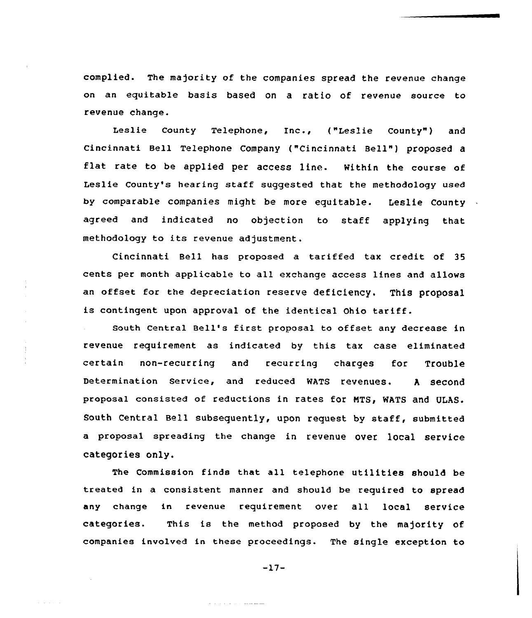complied. The majority of the companies spread the revenue change on an equitable basis based on a ratio of revenue source to revenue change.

Leslie County Telephone, Inc., ("Leslie County") and Cincinnati Bell Telephone Company ("Cincinnati Bell"} proposed flat rate to be applied per access line. Within the course of Leslie County's hearing staff suggested that the methodology used by comparable companies might be more equitable. Leslie County agreed and indicated no objection to staff applying that methodology to its revenue adjustment.

Cincinnati Bell has proposed a tariffed tax credit of 35 cents per month applicable to all exchange access lines and allows an offset for the depreciation reserve deficiency. This proposal is contingent upon approval of the identical Ohio tariff.

south central Bell's first proposal to offset any decrease in revenue requirement as indicated by this tax case eliminated certain non-recurring and recurring charges for Trouble Determination service, and reduced wATs revenues. <sup>A</sup> second proposal consisted of reductions in rates for NTS, WATS and ULAS. South Central Bell subsequently, upon request by staff, submitted a proposal spreading the change in revenue over local service categor ies only.

The Commission finds that all telephone utilities should be treated in a consistent manner and should be required to spread any change in revenue requirement over all local service categories. This is the method proposed by the majority of companies involved in these proceedings. The single exception to

 $-17-$ 

المواضع على عليه المالية المالية المالية المالية التي تعالى المالية المالية المالية المالية المالية ا

and starts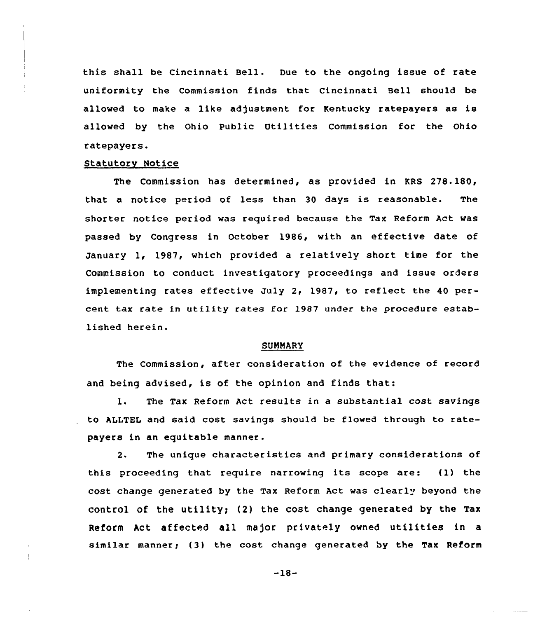this shall be Cincinnati Bell. Due to the ongoing issue of rate uniformity the Commission finds that Cincinnati Bell should be allowed to make a like adjustment for Kentucky ratepayers as is allowed by the Ohio Public Utilities Commission for the Ohio ratepayers.

### Statutory Notice

The Commission has determined, as provided in KRS 278.180, that a notice period of less than 30 days is reasonable. The shorter notice period was required because the Tax Reform Act was passed by Congress in October 1986, with an effective date of January 1, 1987, which provided a relatively short time for the Commission to conduct investigatory proceedings and issue orders implementing rates effective July 2, 1987, to reflect the 40 percent tax rate in utility rates for l987 under the procedure established herein.

#### SUMMARY

The Commission, after consideration of the evidence of record and being advised, is of the opinion and finds that:

1. The Tax Reform Act results in <sup>a</sup> substantial cost savings to ALLTEL and said cost savings should be flowed through to ratepayers in an equitable manner.

2. The unique characteristics and primary considerations of this proceeding that require narrowing its scope are: (1) the cost change generated by the Tax Reform Act was clearly beyond the control of the utility; (2) the cost change generated by the Tax Reform Act affected all ma)or privately owned uti1ities in <sup>a</sup> similar manner; (3) the cost change generated by the Tax Reform

 $-18-$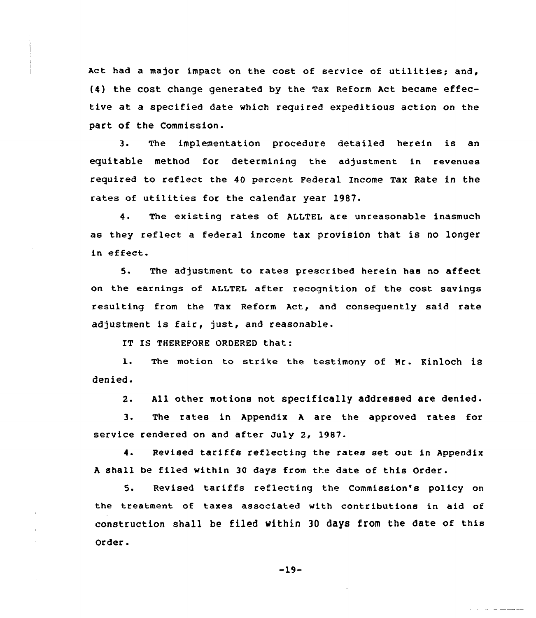Act had <sup>a</sup> major impact on the cost of service of utilities; and, {4) the cost change generated by the Tax Reform Act became effective at a specified date which required expeditious action on the part of the Commission.

3. The implementation procedure detailed herein is an equitable method for determining the adjustment in revenues required to reflect the 40 percent Federal Income Tax Rate in the rates of utilities for the calendar year 1987.

4. The existing rates of ALLTEL are unreasonable inasmuch as they reflect a federal income tax provision that is no longer in effect.

5. The adjustment to rates prescribed herein has no affect on the earnings of ALLTEL after recognition of the cost savings resulting from the Tax Reform Act, and consequently said rate adjustment is fair, just, and reasonable.

IT IS THEREFORE ORDERED that:

 $\pm$ 

1. The motion to strike the testimony of Mr. Kinloch is denied.

2. All other motions not specifically addressed are denied.

3. The rates in Appendix <sup>A</sup> are the approved rates for service rendered on and after July 2, 19B7.

4. Revised tariffs reflecting the rates set out in Appendix <sup>A</sup> shall be filed within 30 days from the date of this Order.

5. Revised tariffs reflecting the Commission's policy on the treatment of taxes associated with contributions in aid of construction shall be filed within 30 day8 from the date of this Order.

-19-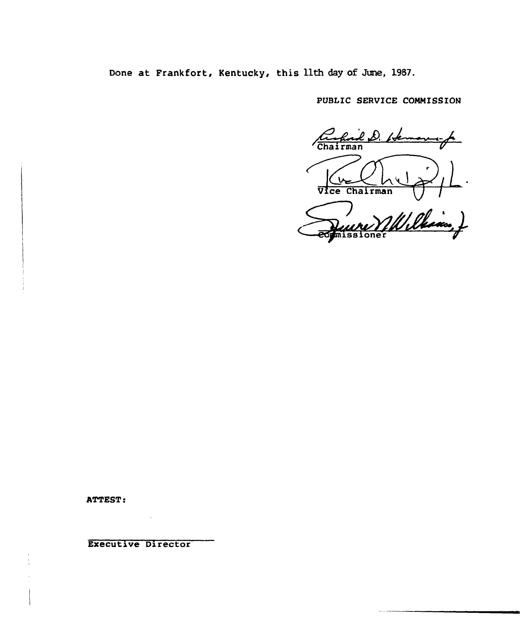Done at Frankfort, Kentucky, this 11th day of June, 1987.

PUBLIC SERVICE COMMISSION

D. Isk  $r$ man L Vice Chairman

William ) missioner

ATTEST:

Executive Director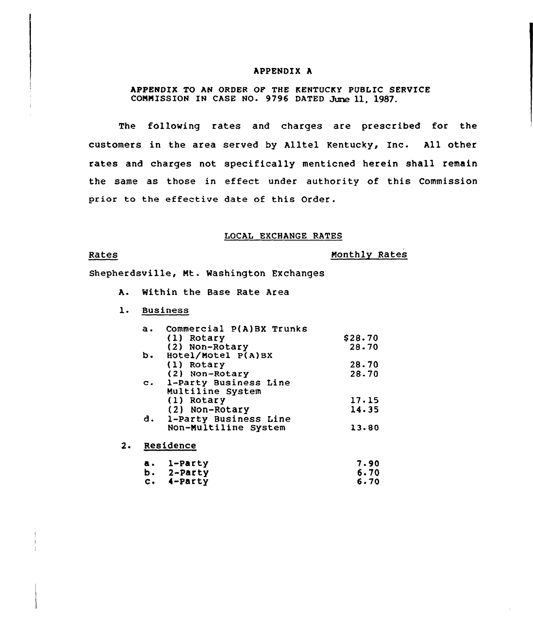### APPENDIX A

APPENDIX TO AN ORDER Op THE KENTUCKY PUBLIC SERUICE COMMISSION IN CASE NO. 9796 DATED June 11, 1987.

The following rates and charges are prescribed for the customers in the area served by Alltel Kentucky, Inc. All other rates and charges not specifically menticned herein shall remain the same as those in effect under authority of this Commission prior to the effective date of this Order.

### LOCAL EXCHANGE RATES

### Rates

Monthly Rates

Shepherdsville, Nt. Washington Exchanges

- A. Within the Base Rate Area
- l. Business

| $\mathbf{a}$ . | Commercial P(A)BX Trunks |         |
|----------------|--------------------------|---------|
|                | (1) Rotary               | \$28.70 |
|                | (2) Non-Rotary           | 28.70   |
| b.             | Hotel/Motel P(A)BX       |         |
|                | (1) Rotary               | 28.70   |
|                | (2) Non-Rotary           | 28.70   |
|                | c. 1-Party Business Line |         |
|                | Multiline System         |         |
|                | (1) Rotary               | 17.15   |
|                | (2) Non-Rotary           | 14.35   |
|                | d. 1-Party Business Line |         |
|                | Non-Multiline System     | 13.80   |
|                |                          |         |

2. Residence

| a. 1-Party      | 7.90 |
|-----------------|------|
| b. 2-Party      | 6.70 |
| $c.$ $4$ -Party | 6.70 |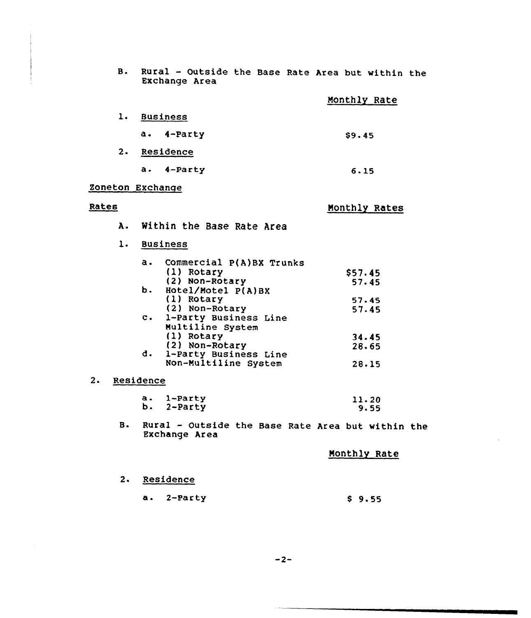| B. Rural - Outside the Base Rate Area but within the |  |  |  |  |
|------------------------------------------------------|--|--|--|--|
| Exchange Area                                        |  |  |  |  |

|    |                 | Monthly Rate |
|----|-----------------|--------------|
| ı. | <b>Business</b> |              |
|    | a. 4-Party      | \$9.45       |
| 2. | Residence       |              |
|    | 4-Party<br>a.   | 6.15         |

# Zoneton Exchange

### Rates

# Monthly Rates

A. Within the Base Rate Area

# l. Business

| a. | Commercial P(A)BX Trunks |         |
|----|--------------------------|---------|
|    | (1) Rotary               | \$57.45 |
|    | (2) Non-Rotary           | 57.45   |
|    | b. Hotel/Motel P(A)BX    |         |
|    | (1) Rotary               | 57.45   |
|    | (2) Non-Rotary           | 57.45   |
|    | c. 1-Party Business Line |         |
|    | Multiline System         |         |
|    | (1) Rotary               | 34.45   |
|    | (2) Non-Rotary           | 28.65   |
|    | d. 1-Party Business Line |         |
|    | Non-Multiline System     | 28.15   |

## 2. Residence

| a. 1-Party | 11.20 |
|------------|-------|
| b. 2-Party | 9.55  |

B. Rural — Outside the Base Rate Area but within the Exchange Area

Monthly Rate

- 2. Residence
	- a. 2-Party \$ 9.55